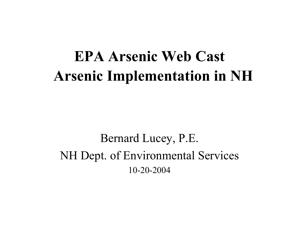# **EPA Arsenic Web Cast Arsenic Implementation in NH**

Bernard Lucey, P.E. NH Dept. of Environmental Services 10-20-2004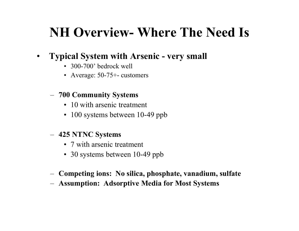## **NH Overview- Where The Need Is**

#### $\bullet$ **Typical System with Arsenic - very small**

- 300-700' bedrock well
- Average: 50-75+- customers

#### **700 Community Systems**

- 10 with arsenic treatment
- 100 systems between 10-49 ppb

#### **425 NTNC System s**

- 7 with arsenic treatment
- 30 systems between 10-49 ppb
- **Compe ting ions: No silica, phosphate, vanadium, sulfate**
- **Assumption: Adsorptive Media for Most Systems**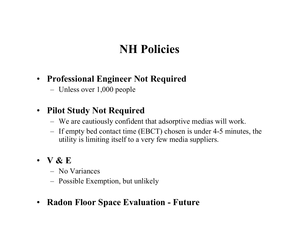## **NH Policies**

### • **Professional Engineer Not Required**

Unless over 1,000 people

### • **Pilot Study Not Required**

- We are cautiously confident that adsorptive medias will work.
- If empty bed contact time (EBCT) chosen is under 4-5 minutes, the utility is limiting itself to a very few media suppliers.
- **V & E**
	- No Variances
	- Possible Exemption, but unlikely
- $\bullet$ **Radon Floor Space Evaluation - Future**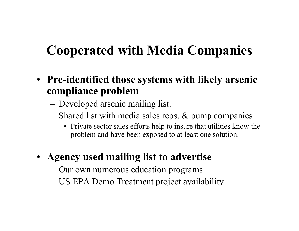## **Cooperated with Media Companies**

- **Pre-identified those systems with likely arsenic compliance problem**
	- Developed arsenic mailing list.
	- Shared list with media sales reps. & pump companies
		- Private sector sales efforts help to insure that utilities know the problem and have been exposed to at least one solution.
- **Agency used mailing list to advertise** 
	- Our own numerous education programs.
	- US EPA D emo Treatment project availability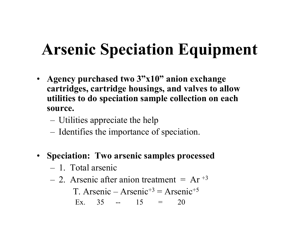# **Arsenic Speciation Equipment**

- **Agency purchased two 3"x10" anion exchange cartridges, cartridge housings, and valves to allow utilities to do speciation sample collection on each source.** 
	- Utilities appreciate the help
	- Identifies the importance of speciation.
- **Speciation: Two arsenic samples processed** 
	- 1. Total arsenic
	- $-$  2. Arsenic after anion treatment = Ar  $+3$ T. Arsenic – Arsenic<sup>+3</sup> = Arsenic<sup>+5</sup> Ex. 35 -- 15 = 20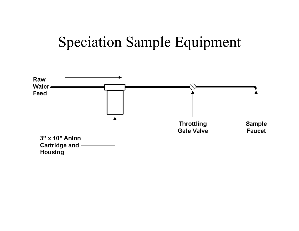# Speciation Sample Equipment

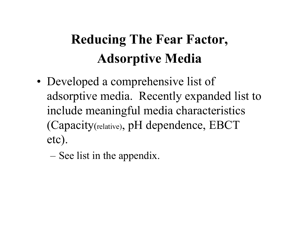# **Reducing The Fear Factor, Adsorptive Media**

- •• Developed a comprehensive list of adsorptive media. Recently expanded list to include meaningful media characteristics (Capacity (relative), pH dependence, EBCT etc).
	- See list in the appendix.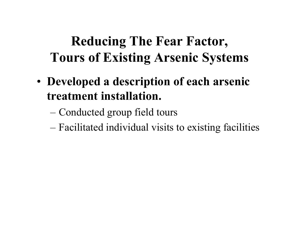# **Reducing The Fear Factor, Tours of Existing Arsenic Systems**

- **Developed a description of each arsenic treatment installation.**
	- Conducted group field tours
	- Facilitated individual visits to existing facilities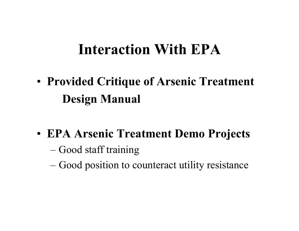# **Interaction With EPA**

• **Provided Critique of Arsenic Treatment Design Manual**

- **EPA Arsenic Treatment Demo Projects**
	- Good staff training
	- Good position to counteract utility resistance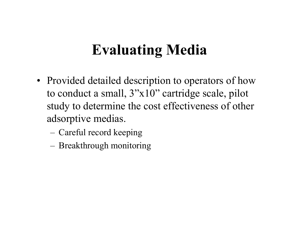# **Evaluating Media**

- Provided detailed description to operators of how to conduct a small, 3"x10" cartridge scale, pilot study to determine the cost effectiveness of other adsorptive medias.
	- Careful record keeping
	- Breakthrough monitoring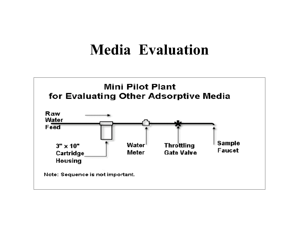## **Media Evaluation**

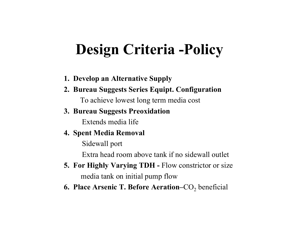# **Design Criteria -Policy**

- **1. Dev elop an Alternative Supply**
- **2. Bureau Suggests Series Equipt. Configuration**

To achieve lowest long term media cost

#### **3. Bureau Suggests Preoxidation**

Extends media life

#### **4. Spent Media Removal**

Sidewall port

Extra head room above tank if no sidewall outlet

- **5. For Highly Varying TDH -** Flow constrictor or size media tank on initial pump flow
- **6. Place Arsenic T. Before Aeration–**CO 2 ben eficial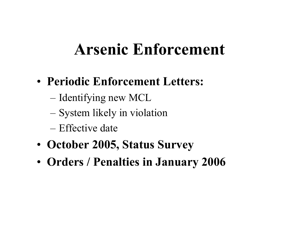# **Arsenic Enforcement**

- **Periodic Enforcement Letters:**
	- Identifying new MCL
	- System likely in violation
	- –Effective date
- **October 2005, Status Survey**
- **Orders / Penalties in January 2006**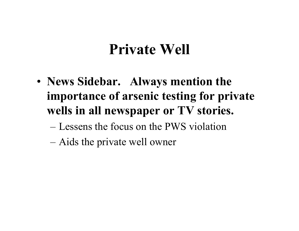# **Private Well**

- **News Sidebar. Always mention the importance of arsenic testing for private wells in all newspaper or TV stories.**
	- Lessens the focus on the PWS violation
	- Aids the private well owner